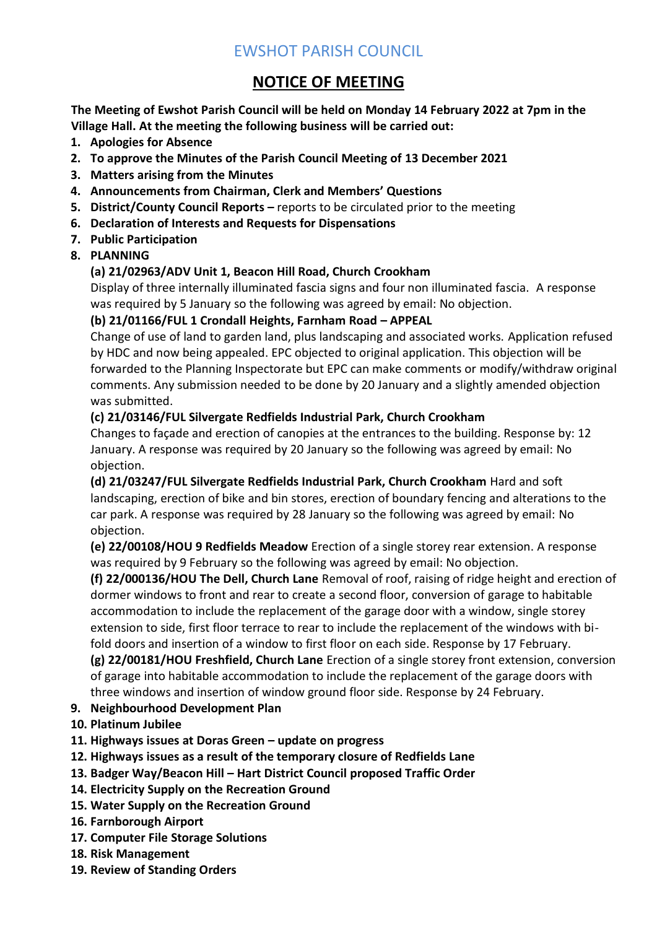# EWSHOT PARISH COUNCIL

# **NOTICE OF MEETING**

**The Meeting of Ewshot Parish Council will be held on Monday 14 February 2022 at 7pm in the Village Hall. At the meeting the following business will be carried out:**

- **1. Apologies for Absence**
- **2. To approve the Minutes of the Parish Council Meeting of 13 December 2021**
- **3. Matters arising from the Minutes**
- **4. Announcements from Chairman, Clerk and Members' Questions**
- **5. District/County Council Reports –** reports to be circulated prior to the meeting
- **6. Declaration of Interests and Requests for Dispensations**
- **7. Public Participation**
- **8. PLANNING**

## **(a) 21/02963/ADV Unit 1, Beacon Hill Road, Church Crookham**

Display of three internally illuminated fascia signs and four non illuminated fascia. A response was required by 5 January so the following was agreed by email: No objection.

## **(b) 21/01166/FUL 1 Crondall Heights, Farnham Road – APPEAL**

Change of use of land to garden land, plus landscaping and associated works. Application refused by HDC and now being appealed. EPC objected to original application. This objection will be forwarded to the Planning Inspectorate but EPC can make comments or modify/withdraw original comments. Any submission needed to be done by 20 January and a slightly amended objection was submitted.

## **(c) 21/03146/FUL Silvergate Redfields Industrial Park, Church Crookham**

Changes to façade and erection of canopies at the entrances to the building. Response by: 12 January. A response was required by 20 January so the following was agreed by email: No objection.

**(d) 21/03247/FUL Silvergate Redfields Industrial Park, Church Crookham** Hard and soft landscaping, erection of bike and bin stores, erection of boundary fencing and alterations to the car park. A response was required by 28 January so the following was agreed by email: No objection.

**(e) 22/00108/HOU 9 Redfields Meadow** Erection of a single storey rear extension. A response was required by 9 February so the following was agreed by email: No objection.

**(f) 22/000136/HOU The Dell, Church Lane** Removal of roof, raising of ridge height and erection of dormer windows to front and rear to create a second floor, conversion of garage to habitable accommodation to include the replacement of the garage door with a window, single storey extension to side, first floor terrace to rear to include the replacement of the windows with bifold doors and insertion of a window to first floor on each side. Response by 17 February.

**(g) 22/00181/HOU Freshfield, Church Lane** Erection of a single storey front extension, conversion of garage into habitable accommodation to include the replacement of the garage doors with three windows and insertion of window ground floor side. Response by 24 February.

## **9. Neighbourhood Development Plan**

## **10. Platinum Jubilee**

- **11. Highways issues at Doras Green – update on progress**
- **12. Highways issues as a result of the temporary closure of Redfields Lane**
- **13. Badger Way/Beacon Hill – Hart District Council proposed Traffic Order**
- **14. Electricity Supply on the Recreation Ground**
- **15. Water Supply on the Recreation Ground**
- **16. Farnborough Airport**
- **17. Computer File Storage Solutions**
- **18. Risk Management**
- **19. Review of Standing Orders**